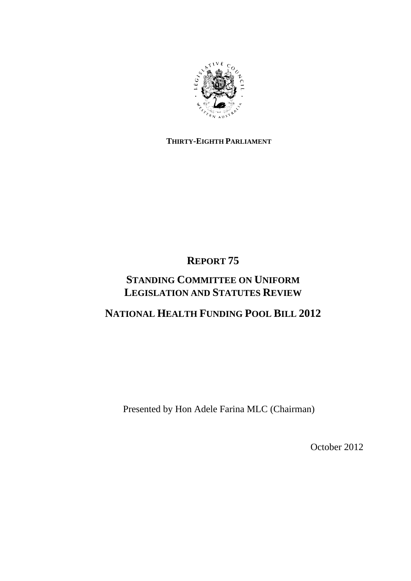

## **THIRTY-EIGHTH PARLIAMENT**

# **REPORT 75**

## **STANDING COMMITTEE ON UNIFORM LEGISLATION AND STATUTES REVIEW**

## **NATIONAL HEALTH FUNDING POOL BILL 2012**

Presented by Hon Adele Farina MLC (Chairman)

October 2012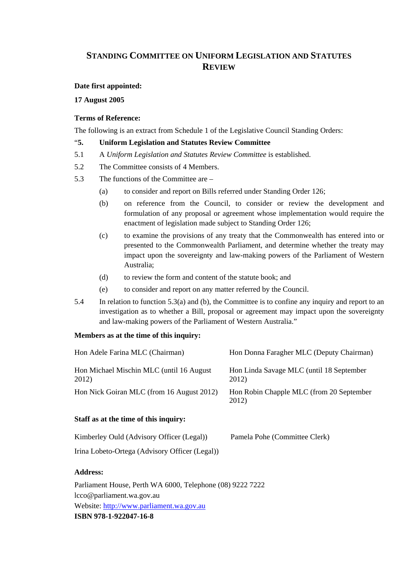## **STANDING COMMITTEE ON UNIFORM LEGISLATION AND STATUTES REVIEW**

### **Date first appointed:**

**17 August 2005** 

#### **Terms of Reference:**

The following is an extract from Schedule 1 of the Legislative Council Standing Orders:

#### "**5. Uniform Legislation and Statutes Review Committee**

- 5.1 A *Uniform Legislation and Statutes Review Committee* is established.
- 5.2 The Committee consists of 4 Members.
- 5.3 The functions of the Committee are
	- (a) to consider and report on Bills referred under Standing Order 126;
	- (b) on reference from the Council, to consider or review the development and formulation of any proposal or agreement whose implementation would require the enactment of legislation made subject to Standing Order 126;
	- (c) to examine the provisions of any treaty that the Commonwealth has entered into or presented to the Commonwealth Parliament, and determine whether the treaty may impact upon the sovereignty and law-making powers of the Parliament of Western Australia;
	- (d) to review the form and content of the statute book; and
	- (e) to consider and report on any matter referred by the Council.
- 5.4 In relation to function 5.3(a) and (b), the Committee is to confine any inquiry and report to an investigation as to whether a Bill, proposal or agreement may impact upon the sovereignty and law-making powers of the Parliament of Western Australia."

#### **Members as at the time of this inquiry:**

| Hon Adele Farina MLC (Chairman)                   | Hon Donna Faragher MLC (Deputy Chairman)          |
|---------------------------------------------------|---------------------------------------------------|
| Hon Michael Mischin MLC (until 16 August<br>2012) | Hon Linda Savage MLC (until 18 September<br>2012) |
| Hon Nick Goiran MLC (from 16 August 2012)         | Hon Robin Chapple MLC (from 20 September<br>2012) |
| $\sim$ $\sim$<br>$\cdots$                         |                                                   |

### **Staff as at the time of this inquiry:**

| Kimberley Ould (Advisory Officer (Legal))      | Pamela Pohe (Committee Clerk) |
|------------------------------------------------|-------------------------------|
| Irina Lobeto-Ortega (Advisory Officer (Legal)) |                               |

### **Address:**

Parliament House, Perth WA 6000, Telephone (08) 9222 7222 lcco@parliament.wa.gov.au Website: http://www.parliament.wa.gov.au **ISBN 978-1-922047-16-8**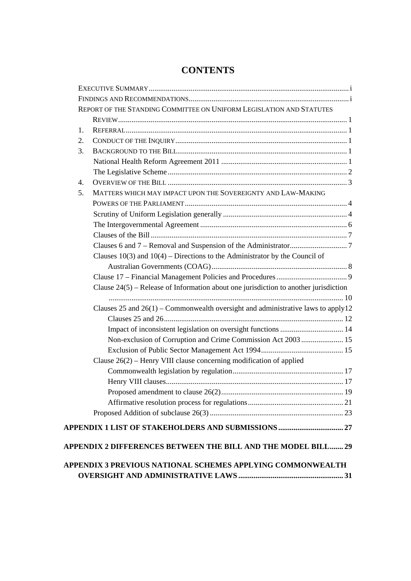|    |                                                                                        | REPORT OF THE STANDING COMMITTEE ON UNIFORM LEGISLATION AND STATUTES |
|----|----------------------------------------------------------------------------------------|----------------------------------------------------------------------|
| 1. |                                                                                        |                                                                      |
| 2. |                                                                                        |                                                                      |
| 3. |                                                                                        |                                                                      |
|    |                                                                                        |                                                                      |
|    |                                                                                        |                                                                      |
| 4. |                                                                                        |                                                                      |
| 5. | MATTERS WHICH MAY IMPACT UPON THE SOVEREIGNTY AND LAW-MAKING                           |                                                                      |
|    |                                                                                        |                                                                      |
|    |                                                                                        |                                                                      |
|    |                                                                                        |                                                                      |
|    |                                                                                        |                                                                      |
|    |                                                                                        |                                                                      |
|    | Clauses $10(3)$ and $10(4)$ – Directions to the Administrator by the Council of        |                                                                      |
|    |                                                                                        |                                                                      |
|    |                                                                                        |                                                                      |
|    |                                                                                        |                                                                      |
|    | Clause $24(5)$ – Release of Information about one jurisdiction to another jurisdiction |                                                                      |
|    |                                                                                        |                                                                      |
|    | Clauses 25 and $26(1)$ – Commonwealth oversight and administrative laws to apply 12    |                                                                      |
|    |                                                                                        |                                                                      |
|    |                                                                                        |                                                                      |
|    | Non-exclusion of Corruption and Crime Commission Act 2003  15                          |                                                                      |
|    |                                                                                        |                                                                      |
|    | Clause $26(2)$ – Henry VIII clause concerning modification of applied                  |                                                                      |
|    |                                                                                        |                                                                      |
|    |                                                                                        |                                                                      |
|    |                                                                                        |                                                                      |
|    |                                                                                        |                                                                      |
|    |                                                                                        |                                                                      |

## **CONTENTS**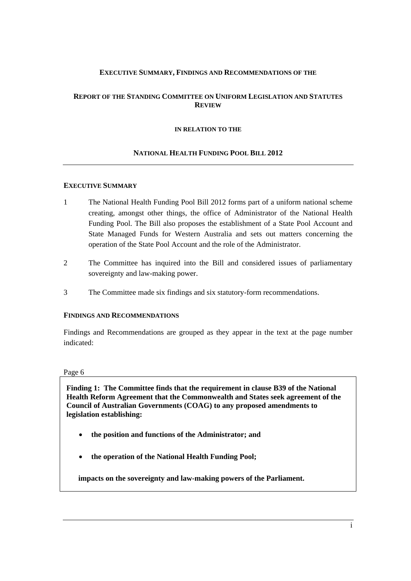### **EXECUTIVE SUMMARY, FINDINGS AND RECOMMENDATIONS OF THE**

### **REPORT OF THE STANDING COMMITTEE ON UNIFORM LEGISLATION AND STATUTES REVIEW**

#### **IN RELATION TO THE**

#### **NATIONAL HEALTH FUNDING POOL BILL 2012**

#### **EXECUTIVE SUMMARY**

- 1 The National Health Funding Pool Bill 2012 forms part of a uniform national scheme creating, amongst other things, the office of Administrator of the National Health Funding Pool. The Bill also proposes the establishment of a State Pool Account and State Managed Funds for Western Australia and sets out matters concerning the operation of the State Pool Account and the role of the Administrator.
- 2 The Committee has inquired into the Bill and considered issues of parliamentary sovereignty and law-making power.
- 3 The Committee made six findings and six statutory-form recommendations.

### **FINDINGS AND RECOMMENDATIONS**

Findings and Recommendations are grouped as they appear in the text at the page number indicated:

#### Page 6

**Finding 1: The Committee finds that the requirement in clause B39 of the National Health Reform Agreement that the Commonwealth and States seek agreement of the Council of Australian Governments (COAG) to any proposed amendments to legislation establishing:** 

- **the position and functions of the Administrator; and**
- **the operation of the National Health Funding Pool;**

**impacts on the sovereignty and law-making powers of the Parliament.**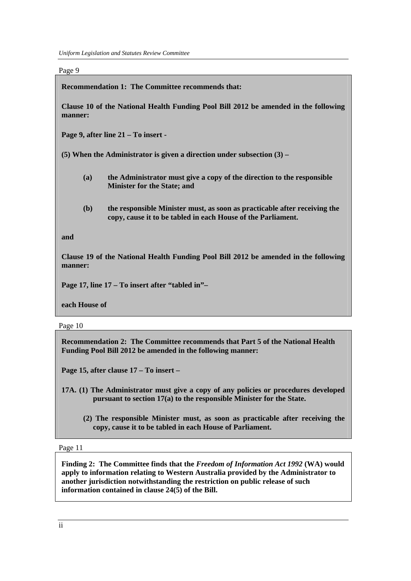*Uniform Legislation and Statutes Review Committee* 

Page 9

**Recommendation 1: The Committee recommends that:** 

**Clause 10 of the National Health Funding Pool Bill 2012 be amended in the following manner:** 

**Page 9, after line 21 – To insert -** 

**(5) When the Administrator is given a direction under subsection (3) –** 

- **(a) the Administrator must give a copy of the direction to the responsible Minister for the State; and**
- **(b) the responsible Minister must, as soon as practicable after receiving the copy, cause it to be tabled in each House of the Parliament.**

**and** 

**Clause 19 of the National Health Funding Pool Bill 2012 be amended in the following manner:** 

**Page 17, line 17 – To insert after "tabled in"–** 

**each House of** 

Page 10

**Recommendation 2: The Committee recommends that Part 5 of the National Health Funding Pool Bill 2012 be amended in the following manner:** 

**Page 15, after clause 17 – To insert –** 

- **17A. (1) The Administrator must give a copy of any policies or procedures developed pursuant to section 17(a) to the responsible Minister for the State.** 
	- **(2) The responsible Minister must, as soon as practicable after receiving the copy, cause it to be tabled in each House of Parliament.**

Page 11

**Finding 2: The Committee finds that the** *Freedom of Information Act 1992* **(WA) would apply to information relating to Western Australia provided by the Administrator to another jurisdiction notwithstanding the restriction on public release of such information contained in clause 24(5) of the Bill.**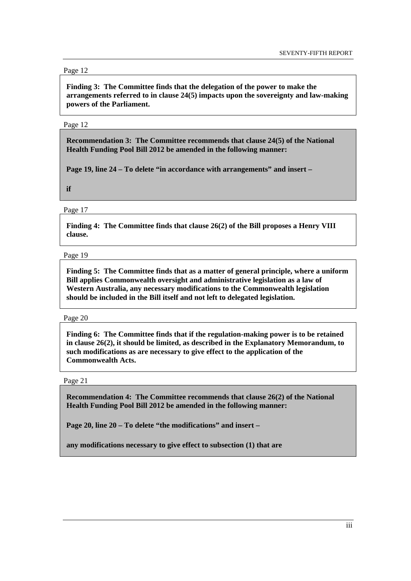#### Page 12

**Finding 3: The Committee finds that the delegation of the power to make the arrangements referred to in clause 24(5) impacts upon the sovereignty and law-making powers of the Parliament.** 

#### Page 12

**Recommendation 3: The Committee recommends that clause 24(5) of the National Health Funding Pool Bill 2012 be amended in the following manner:** 

**Page 19, line 24 – To delete "in accordance with arrangements" and insert –** 

**if** 

Page 17

**Finding 4: The Committee finds that clause 26(2) of the Bill proposes a Henry VIII clause.** 

#### Page 19

**Finding 5: The Committee finds that as a matter of general principle, where a uniform Bill applies Commonwealth oversight and administrative legislation as a law of Western Australia, any necessary modifications to the Commonwealth legislation should be included in the Bill itself and not left to delegated legislation.** 

#### Page 20

**Finding 6: The Committee finds that if the regulation-making power is to be retained in clause 26(2), it should be limited, as described in the Explanatory Memorandum, to such modifications as are necessary to give effect to the application of the Commonwealth Acts.** 

#### Page 21

**Recommendation 4: The Committee recommends that clause 26(2) of the National Health Funding Pool Bill 2012 be amended in the following manner:** 

**Page 20, line 20 – To delete "the modifications" and insert –** 

**any modifications necessary to give effect to subsection (1) that are**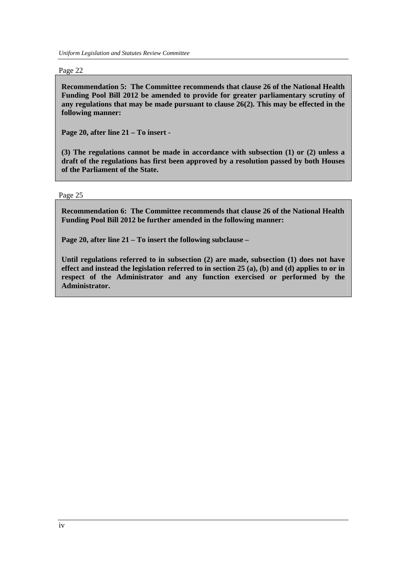*Uniform Legislation and Statutes Review Committee* 

Page 22

**Recommendation 5: The Committee recommends that clause 26 of the National Health Funding Pool Bill 2012 be amended to provide for greater parliamentary scrutiny of any regulations that may be made pursuant to clause 26(2). This may be effected in the following manner:** 

**Page 20, after line 21 – To insert -** 

**(3) The regulations cannot be made in accordance with subsection (1) or (2) unless a draft of the regulations has first been approved by a resolution passed by both Houses of the Parliament of the State.** 

Page 25

**Recommendation 6: The Committee recommends that clause 26 of the National Health Funding Pool Bill 2012 be further amended in the following manner:** 

**Page 20, after line 21 – To insert the following subclause –** 

**Until regulations referred to in subsection (2) are made, subsection (1) does not have effect and instead the legislation referred to in section 25 (a), (b) and (d) applies to or in respect of the Administrator and any function exercised or performed by the Administrator.**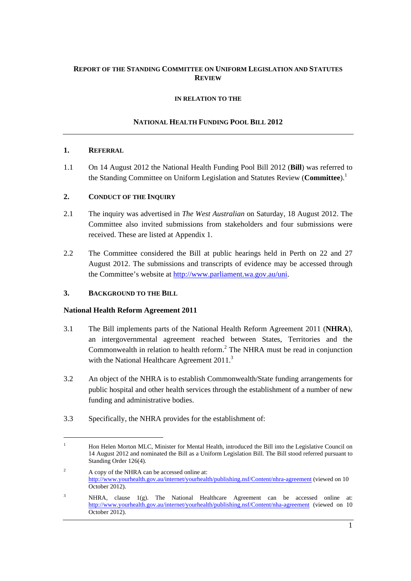## **REPORT OF THE STANDING COMMITTEE ON UNIFORM LEGISLATION AND STATUTES REVIEW**

### **IN RELATION TO THE**

## **NATIONAL HEALTH FUNDING POOL BILL 2012**

### **1. REFERRAL**

1.1 On 14 August 2012 the National Health Funding Pool Bill 2012 (**Bill**) was referred to the Standing Committee on Uniform Legislation and Statutes Review (**Committee**).<sup>1</sup>

### **2. CONDUCT OF THE INQUIRY**

- 2.1 The inquiry was advertised in *The West Australian* on Saturday, 18 August 2012. The Committee also invited submissions from stakeholders and four submissions were received. These are listed at Appendix 1.
- 2.2 The Committee considered the Bill at public hearings held in Perth on 22 and 27 August 2012. The submissions and transcripts of evidence may be accessed through the Committee's website at http://www.parliament.wa.gov.au/uni.

## **3. BACKGROUND TO THE BILL**

### **National Health Reform Agreement 2011**

- 3.1 The Bill implements parts of the National Health Reform Agreement 2011 (**NHRA**), an intergovernmental agreement reached between States, Territories and the Commonwealth in relation to health reform. $<sup>2</sup>$  The NHRA must be read in conjunction</sup> with the National Healthcare Agreement 2011.<sup>3</sup>
- 3.2 An object of the NHRA is to establish Commonwealth/State funding arrangements for public hospital and other health services through the establishment of a number of new funding and administrative bodies.
- 3.3 Specifically, the NHRA provides for the establishment of:

 $\overline{2}$  A copy of the NHRA can be accessed online at: http://www.yourhealth.gov.au/internet/yourhealth/publishing.nsf/Content/nhra-agreement (viewed on 10 October 2012).

<sup>1</sup> Hon Helen Morton MLC, Minister for Mental Health, introduced the Bill into the Legislative Council on 14 August 2012 and nominated the Bill as a Uniform Legislation Bill. The Bill stood referred pursuant to Standing Order 126(4).

<sup>3</sup> NHRA, clause 1(g). The National Healthcare Agreement can be accessed online at: http://www.yourhealth.gov.au/internet/yourhealth/publishing.nsf/Content/nha-agreement (viewed on 10 October 2012).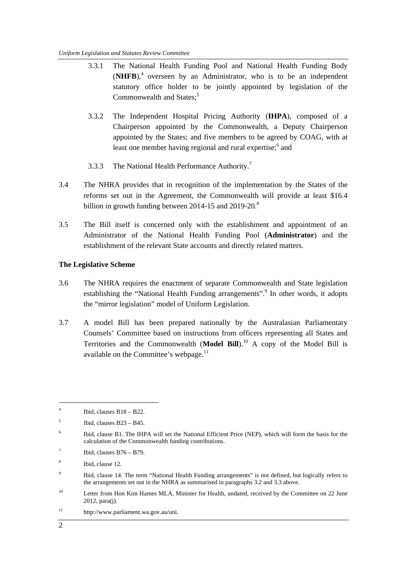- 3.3.1 The National Health Funding Pool and National Health Funding Body  $(NHFB)$ <sup>4</sup> overseen by an Administrator, who is to be an independent statutory office holder to be jointly appointed by legislation of the Commonwealth and States;<sup>5</sup>
- 3.3.2 The Independent Hospital Pricing Authority (**IHPA**), composed of a Chairperson appointed by the Commonwealth, a Deputy Chairperson appointed by the States; and five members to be agreed by COAG, with at least one member having regional and rural expertise;<sup>6</sup> and
- 3.3.3 The National Health Performance Authority.<sup>7</sup>
- 3.4 The NHRA provides that in recognition of the implementation by the States of the reforms set out in the Agreement, the Commonwealth will provide at least \$16.4 billion in growth funding between 2014-15 and  $2019-20$ .<sup>8</sup>
- 3.5 The Bill itself is concerned only with the establishment and appointment of an Administrator of the National Health Funding Pool (**Administrator**) and the establishment of the relevant State accounts and directly related matters.

#### **The Legislative Scheme**

- 3.6 The NHRA requires the enactment of separate Commonwealth and State legislation establishing the "National Health Funding arrangements".<sup>9</sup> In other words, it adopts the "mirror legislation" model of Uniform Legislation.
- 3.7 A model Bill has been prepared nationally by the Australasian Parliamentary Counsels' Committee based on instructions from officers representing all States and Territories and the Commonwealth (**Model Bill**).10 A copy of the Model Bill is available on the Committee's webpage.<sup>11</sup>

11 http://www.parliament.wa.gov.au/uni.

<sup>4</sup> Ibid, clauses B18 – B22.

<sup>5</sup> Ibid, clauses B23 – B45.

<sup>6</sup> Ibid, clause B1. The IHPA will set the National Efficient Price (NEP), which will form the basis for the calculation of the Commonwealth funding contributions.

<sup>7</sup> Ibid, clauses B76 – B79.

<sup>8</sup> Ibid, clause 12.

<sup>9</sup> Ibid, clause 14. The term "National Health Funding arrangements" is not defined, but logically refers to the arrangements set out in the NHRA as summarised in paragraphs 3.2 and 3.3 above.

<sup>&</sup>lt;sup>10</sup> Letter from Hon Kim Hames MLA, Minister for Health, undated, received by the Committee on 22 June 2012, para(j).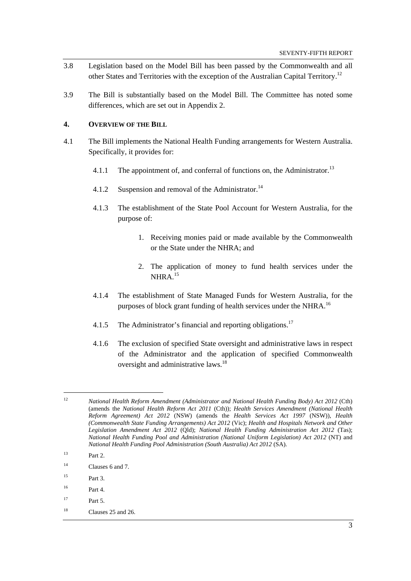- 3.8 Legislation based on the Model Bill has been passed by the Commonwealth and all other States and Territories with the exception of the Australian Capital Territory.<sup>12</sup>
- 3.9 The Bill is substantially based on the Model Bill. The Committee has noted some differences, which are set out in Appendix 2.

#### **4. OVERVIEW OF THE BILL**

- 4.1 The Bill implements the National Health Funding arrangements for Western Australia. Specifically, it provides for:
	- 4.1.1 The appointment of, and conferral of functions on, the Administrator.<sup>13</sup>
	- 4.1.2 Suspension and removal of the Administrator.<sup>14</sup>
	- 4.1.3 The establishment of the State Pool Account for Western Australia, for the purpose of:
		- 1. Receiving monies paid or made available by the Commonwealth or the State under the NHRA; and
		- 2. The application of money to fund health services under the  $NHRA$ <sup>15</sup>
	- 4.1.4 The establishment of State Managed Funds for Western Australia, for the purposes of block grant funding of health services under the NHRA.<sup>16</sup>
	- 4.1.5 The Administrator's financial and reporting obligations.<sup>17</sup>
	- 4.1.6 The exclusion of specified State oversight and administrative laws in respect of the Administrator and the application of specified Commonwealth oversight and administrative laws.<sup>18</sup>

<sup>12</sup> *National Health Reform Amendment (Administrator and National Health Funding Body) Act 2012* (Cth) (amends the *National Health Reform Act 2011* (Cth)); *Health Services Amendment (National Health Reform Agreement) Act 2012* (NSW) (amends the *Health Services Act 1997* (NSW)), *Health (Commonwealth State Funding Arrangements) Act 2012* (Vic); *Health and Hospitals Network and Other Legislation Amendment Act 2012* (Qld); *National Health Funding Administration Act 2012* (Tas); *National Health Funding Pool and Administration (National Uniform Legislation) Act 2012* (NT) and *National Health Funding Pool Administration (South Australia) Act 2012* (SA).

 $13$  Part 2.

<sup>&</sup>lt;sup>14</sup> Clauses 6 and 7.

 $15$  Part 3.

 $16$  Part  $A$ 

 $17$  Part 5.

 $18$  Clauses 25 and 26.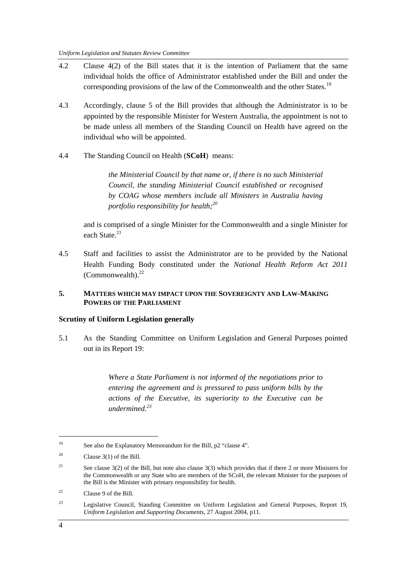- 4.2 Clause 4(2) of the Bill states that it is the intention of Parliament that the same individual holds the office of Administrator established under the Bill and under the corresponding provisions of the law of the Commonwealth and the other States.<sup>19</sup>
- 4.3 Accordingly, clause 5 of the Bill provides that although the Administrator is to be appointed by the responsible Minister for Western Australia, the appointment is not to be made unless all members of the Standing Council on Health have agreed on the individual who will be appointed.
- 4.4 The Standing Council on Health (**SCoH**) means:

*the Ministerial Council by that name or, if there is no such Ministerial Council, the standing Ministerial Council established or recognised by COAG whose members include all Ministers in Australia having portfolio responsibility for health;20*

and is comprised of a single Minister for the Commonwealth and a single Minister for each State.<sup>21</sup>

4.5 Staff and facilities to assist the Administrator are to be provided by the National Health Funding Body constituted under the *National Health Reform Act 2011*  (Commonwealth). $^{22}$ 

### **5. MATTERS WHICH MAY IMPACT UPON THE SOVEREIGNTY AND LAW-MAKING POWERS OF THE PARLIAMENT**

#### **Scrutiny of Uniform Legislation generally**

5.1 As the Standing Committee on Uniform Legislation and General Purposes pointed out in its Report 19:

> *Where a State Parliament is not informed of the negotiations prior to entering the agreement and is pressured to pass uniform bills by the actions of the Executive, its superiority to the Executive can be undermined.<sup>23</sup>*

<sup>19</sup> See also the Explanatory Memorandum for the Bill, p2 "clause 4".

<sup>&</sup>lt;sup>20</sup> Clause  $3(1)$  of the Bill.

<sup>&</sup>lt;sup>21</sup> See clause 3(2) of the Bill, but note also clause 3(3) which provides that if there 2 or more Ministers for the Commonwealth or any State who are members of the SCoH, the relevant Minister for the purposes of the Bill is the Minister with primary responsibility for health.

<sup>22</sup> Clause 9 of the Bill.

<sup>&</sup>lt;sup>23</sup> Legislative Council, Standing Committee on Uniform Legislation and General Purposes, Report 19, *Uniform Legislation and Supporting Documents*, 27 August 2004, p11.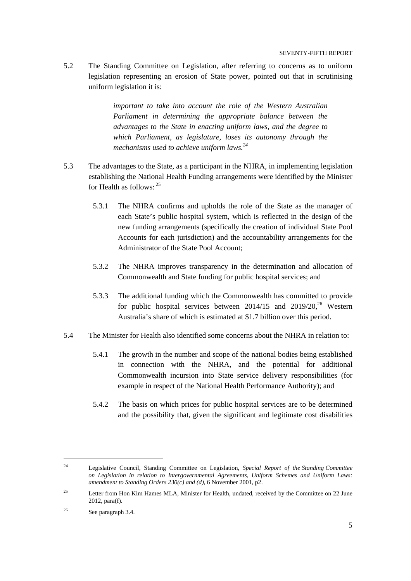5.2 The Standing Committee on Legislation, after referring to concerns as to uniform legislation representing an erosion of State power, pointed out that in scrutinising uniform legislation it is:

> *important to take into account the role of the Western Australian Parliament in determining the appropriate balance between the advantages to the State in enacting uniform laws, and the degree to which Parliament, as legislature, loses its autonomy through the mechanisms used to achieve uniform laws.<sup>24</sup>*

- 5.3 The advantages to the State, as a participant in the NHRA, in implementing legislation establishing the National Health Funding arrangements were identified by the Minister for Health as follows:  $25$ 
	- 5.3.1 The NHRA confirms and upholds the role of the State as the manager of each State's public hospital system, which is reflected in the design of the new funding arrangements (specifically the creation of individual State Pool Accounts for each jurisdiction) and the accountability arrangements for the Administrator of the State Pool Account;
	- 5.3.2 The NHRA improves transparency in the determination and allocation of Commonwealth and State funding for public hospital services; and
	- 5.3.3 The additional funding which the Commonwealth has committed to provide for public hospital services between  $2014/15$  and  $2019/20$ ,<sup>26</sup> Western Australia's share of which is estimated at \$1.7 billion over this period.
- 5.4 The Minister for Health also identified some concerns about the NHRA in relation to:
	- 5.4.1 The growth in the number and scope of the national bodies being established in connection with the NHRA, and the potential for additional Commonwealth incursion into State service delivery responsibilities (for example in respect of the National Health Performance Authority); and
	- 5.4.2 The basis on which prices for public hospital services are to be determined and the possibility that, given the significant and legitimate cost disabilities

<sup>24</sup> Legislative Council, Standing Committee on Legislation, *Special Report of the Standing Committee on Legislation in relation to Intergovernmental Agreements, Uniform Schemes and Uniform Laws: amendment to Standing Orders 230(c) and (d)*, 6 November 2001, p2.

<sup>&</sup>lt;sup>25</sup> Letter from Hon Kim Hames MLA, Minister for Health, undated, received by the Committee on 22 June 2012, para(f).

<sup>26</sup> See paragraph 3.4.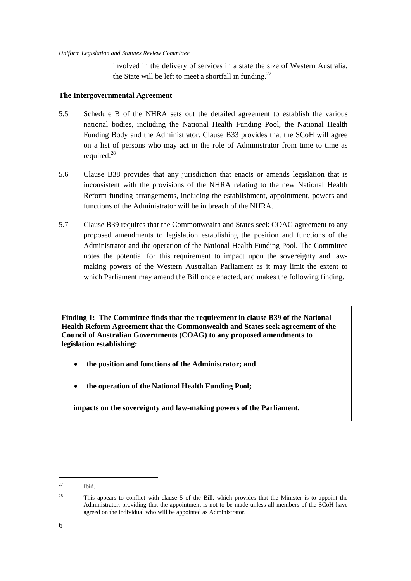involved in the delivery of services in a state the size of Western Australia, the State will be left to meet a shortfall in funding.<sup>27</sup>

### **The Intergovernmental Agreement**

- 5.5 Schedule B of the NHRA sets out the detailed agreement to establish the various national bodies, including the National Health Funding Pool, the National Health Funding Body and the Administrator. Clause B33 provides that the SCoH will agree on a list of persons who may act in the role of Administrator from time to time as required.<sup>28</sup>
- 5.6 Clause B38 provides that any jurisdiction that enacts or amends legislation that is inconsistent with the provisions of the NHRA relating to the new National Health Reform funding arrangements, including the establishment, appointment, powers and functions of the Administrator will be in breach of the NHRA.
- 5.7 Clause B39 requires that the Commonwealth and States seek COAG agreement to any proposed amendments to legislation establishing the position and functions of the Administrator and the operation of the National Health Funding Pool. The Committee notes the potential for this requirement to impact upon the sovereignty and lawmaking powers of the Western Australian Parliament as it may limit the extent to which Parliament may amend the Bill once enacted, and makes the following finding.

**Finding 1: The Committee finds that the requirement in clause B39 of the National Health Reform Agreement that the Commonwealth and States seek agreement of the Council of Australian Governments (COAG) to any proposed amendments to legislation establishing:** 

- **the position and functions of the Administrator; and**
- **the operation of the National Health Funding Pool;**

**impacts on the sovereignty and law-making powers of the Parliament.** 

<sup>27</sup> Ibid.

<sup>&</sup>lt;sup>28</sup> This appears to conflict with clause 5 of the Bill, which provides that the Minister is to appoint the Administrator, providing that the appointment is not to be made unless all members of the SCoH have agreed on the individual who will be appointed as Administrator.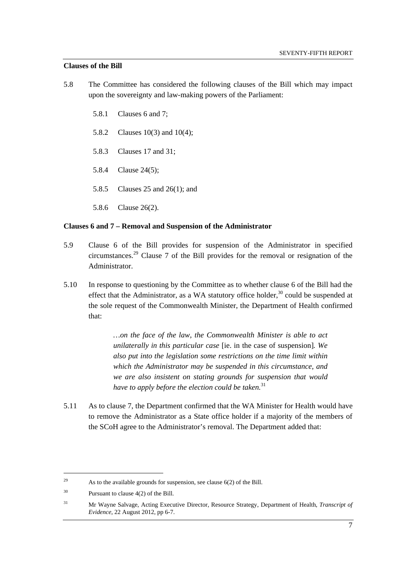### **Clauses of the Bill**

- 5.8 The Committee has considered the following clauses of the Bill which may impact upon the sovereignty and law-making powers of the Parliament:
	- 5.8.1 Clauses 6 and 7;
	- 5.8.2 Clauses 10(3) and 10(4);
	- 5.8.3 Clauses 17 and 31;
	- 5.8.4 Clause 24(5);
	- 5.8.5 Clauses 25 and 26(1); and
	- 5.8.6 Clause 26(2).

#### **Clauses 6 and 7 – Removal and Suspension of the Administrator**

- 5.9 Clause 6 of the Bill provides for suspension of the Administrator in specified circumstances.<sup>29</sup> Clause 7 of the Bill provides for the removal or resignation of the Administrator.
- 5.10 In response to questioning by the Committee as to whether clause 6 of the Bill had the effect that the Administrator, as a WA statutory office holder, $30$  could be suspended at the sole request of the Commonwealth Minister, the Department of Health confirmed that:

*…on the face of the law, the Commonwealth Minister is able to act unilaterally in this particular case* [ie. in the case of suspension]*. We also put into the legislation some restrictions on the time limit within which the Administrator may be suspended in this circumstance, and we are also insistent on stating grounds for suspension that would have to apply before the election could be taken.*<sup>31</sup>

5.11 As to clause 7, the Department confirmed that the WA Minister for Health would have to remove the Administrator as a State office holder if a majority of the members of the SCoH agree to the Administrator's removal. The Department added that:

<sup>&</sup>lt;sup>29</sup> As to the available grounds for suspension, see clause  $6(2)$  of the Bill.

<sup>30</sup> Pursuant to clause 4(2) of the Bill.

<sup>31</sup> Mr Wayne Salvage, Acting Executive Director, Resource Strategy, Department of Health, *Transcript of Evidence*, 22 August 2012, pp 6-7.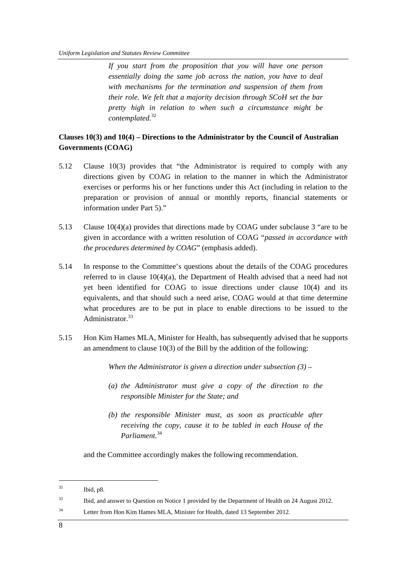*If you start from the proposition that you will have one person essentially doing the same job across the nation, you have to deal with mechanisms for the termination and suspension of them from their role. We felt that a majority decision through SCoH set the bar pretty high in relation to when such a circumstance might be contemplated.*<sup>32</sup>

### **Clauses 10(3) and 10(4) – Directions to the Administrator by the Council of Australian Governments (COAG)**

- 5.12 Clause 10(3) provides that "the Administrator is required to comply with any directions given by COAG in relation to the manner in which the Administrator exercises or performs his or her functions under this Act (including in relation to the preparation or provision of annual or monthly reports, financial statements or information under Part 5)."
- 5.13 Clause 10(4)(a) provides that directions made by COAG under subclause 3 "are to be given in accordance with a written resolution of COAG "*passed in accordance with the procedures determined by COAG*" (emphasis added).
- 5.14 In response to the Committee's questions about the details of the COAG procedures referred to in clause  $10(4)(a)$ , the Department of Health advised that a need had not yet been identified for COAG to issue directions under clause 10(4) and its equivalents, and that should such a need arise, COAG would at that time determine what procedures are to be put in place to enable directions to be issued to the Administrator.<sup>33</sup>
- 5.15 Hon Kim Hames MLA, Minister for Health, has subsequently advised that he supports an amendment to clause 10(3) of the Bill by the addition of the following:

*When the Administrator is given a direction under subsection (3) –* 

- *(a) the Administrator must give a copy of the direction to the responsible Minister for the State; and*
- *(b) the responsible Minister must, as soon as practicable after receiving the copy, cause it to be tabled in each House of the Parliament.*<sup>34</sup>

and the Committee accordingly makes the following recommendation.

 $^{32}$  Ibid, p8.

<sup>&</sup>lt;sup>33</sup> Ibid, and answer to Question on Notice 1 provided by the Department of Health on 24 August 2012.

<sup>34</sup> Letter from Hon Kim Hames MLA, Minister for Health, dated 13 September 2012.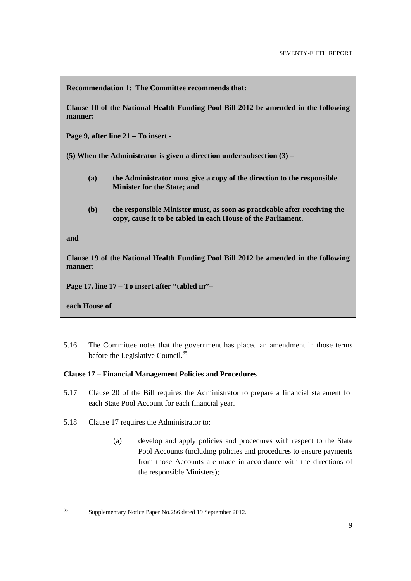**Recommendation 1: The Committee recommends that:** 

**Clause 10 of the National Health Funding Pool Bill 2012 be amended in the following manner:** 

**Page 9, after line 21 – To insert -** 

**(5) When the Administrator is given a direction under subsection (3) –** 

- **(a) the Administrator must give a copy of the direction to the responsible Minister for the State; and**
- **(b) the responsible Minister must, as soon as practicable after receiving the copy, cause it to be tabled in each House of the Parliament.**

**and** 

**Clause 19 of the National Health Funding Pool Bill 2012 be amended in the following manner:** 

**Page 17, line 17 – To insert after "tabled in"–** 

**each House of** 

5.16 The Committee notes that the government has placed an amendment in those terms before the Legislative Council.<sup>35</sup>

### **Clause 17 – Financial Management Policies and Procedures**

- 5.17 Clause 20 of the Bill requires the Administrator to prepare a financial statement for each State Pool Account for each financial year.
- 5.18 Clause 17 requires the Administrator to:
	- (a) develop and apply policies and procedures with respect to the State Pool Accounts (including policies and procedures to ensure payments from those Accounts are made in accordance with the directions of the responsible Ministers);

<sup>35</sup> Supplementary Notice Paper No.286 dated 19 September 2012.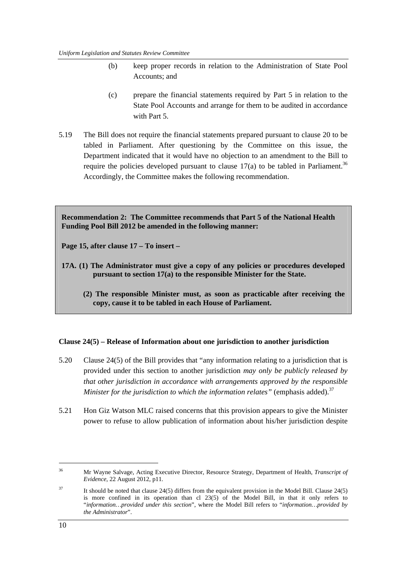- (b) keep proper records in relation to the Administration of State Pool Accounts; and
- (c) prepare the financial statements required by Part 5 in relation to the State Pool Accounts and arrange for them to be audited in accordance with Part 5.
- 5.19 The Bill does not require the financial statements prepared pursuant to clause 20 to be tabled in Parliament. After questioning by the Committee on this issue, the Department indicated that it would have no objection to an amendment to the Bill to require the policies developed pursuant to clause  $17(a)$  to be tabled in Parliament.<sup>36</sup> Accordingly, the Committee makes the following recommendation.

**Recommendation 2: The Committee recommends that Part 5 of the National Health Funding Pool Bill 2012 be amended in the following manner:** 

**Page 15, after clause 17 – To insert –** 

- **17A. (1) The Administrator must give a copy of any policies or procedures developed pursuant to section 17(a) to the responsible Minister for the State.** 
	- **(2) The responsible Minister must, as soon as practicable after receiving the copy, cause it to be tabled in each House of Parliament.**

### **Clause 24(5) – Release of Information about one jurisdiction to another jurisdiction**

- 5.20 Clause 24(5) of the Bill provides that "any information relating to a jurisdiction that is provided under this section to another jurisdiction *may only be publicly released by that other jurisdiction in accordance with arrangements approved by the responsible Minister for the jurisdiction to which the information relates*" (emphasis added).<sup>37</sup>
- 5.21 Hon Giz Watson MLC raised concerns that this provision appears to give the Minister power to refuse to allow publication of information about his/her jurisdiction despite

<sup>36</sup> Mr Wayne Salvage, Acting Executive Director, Resource Strategy, Department of Health, *Transcript of Evidence*, 22 August 2012, p11.

<sup>&</sup>lt;sup>37</sup> It should be noted that clause 24(5) differs from the equivalent provision in the Model Bill. Clause 24(5) is more confined in its operation than cl  $23(5)$  of the Model Bill, in that it only refers to "*information…provided under this section*", where the Model Bill refers to "*information…provided by the Administrator*".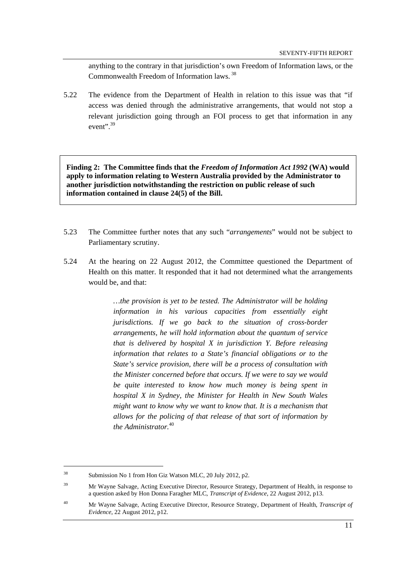anything to the contrary in that jurisdiction's own Freedom of Information laws, or the Commonwealth Freedom of Information laws. 38

5.22 The evidence from the Department of Health in relation to this issue was that "if access was denied through the administrative arrangements, that would not stop a relevant jurisdiction going through an FOI process to get that information in any event".  $39$ 

**Finding 2: The Committee finds that the** *Freedom of Information Act 1992* **(WA) would apply to information relating to Western Australia provided by the Administrator to another jurisdiction notwithstanding the restriction on public release of such information contained in clause 24(5) of the Bill.** 

- 5.23 The Committee further notes that any such "*arrangements*" would not be subject to Parliamentary scrutiny.
- 5.24 At the hearing on 22 August 2012, the Committee questioned the Department of Health on this matter. It responded that it had not determined what the arrangements would be, and that:

*…the provision is yet to be tested. The Administrator will be holding information in his various capacities from essentially eight jurisdictions. If we go back to the situation of cross-border arrangements, he will hold information about the quantum of service that is delivered by hospital X in jurisdiction Y. Before releasing information that relates to a State's financial obligations or to the State's service provision, there will be a process of consultation with the Minister concerned before that occurs. If we were to say we would be quite interested to know how much money is being spent in hospital X in Sydney, the Minister for Health in New South Wales might want to know why we want to know that. It is a mechanism that allows for the policing of that release of that sort of information by the Administrator.*<sup>40</sup>

 $\overline{a}$ 

<sup>38</sup> Submission No 1 from Hon Giz Watson MLC, 20 July 2012, p2.

<sup>39</sup> Mr Wayne Salvage, Acting Executive Director, Resource Strategy, Department of Health, in response to a question asked by Hon Donna Faragher MLC, *Transcript of Evidence*, 22 August 2012, p13.

<sup>40</sup> Mr Wayne Salvage, Acting Executive Director, Resource Strategy, Department of Health, *Transcript of Evidence*, 22 August 2012, p12.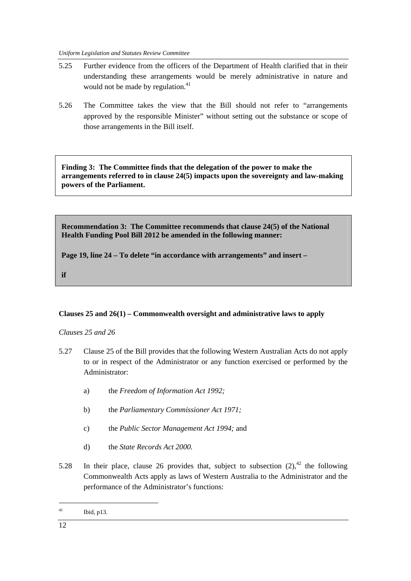*Uniform Legislation and Statutes Review Committee* 

- 5.25 Further evidence from the officers of the Department of Health clarified that in their understanding these arrangements would be merely administrative in nature and would not be made by regulation.<sup>41</sup>
- 5.26 The Committee takes the view that the Bill should not refer to "arrangements approved by the responsible Minister" without setting out the substance or scope of those arrangements in the Bill itself.

**Finding 3: The Committee finds that the delegation of the power to make the arrangements referred to in clause 24(5) impacts upon the sovereignty and law-making powers of the Parliament.** 

**Recommendation 3: The Committee recommends that clause 24(5) of the National Health Funding Pool Bill 2012 be amended in the following manner:** 

**Page 19, line 24 – To delete "in accordance with arrangements" and insert –** 

**if** 

## **Clauses 25 and 26(1) – Commonwealth oversight and administrative laws to apply**

*Clauses 25 and 26* 

- 5.27 Clause 25 of the Bill provides that the following Western Australian Acts do not apply to or in respect of the Administrator or any function exercised or performed by the Administrator:
	- a) the *Freedom of Information Act 1992;*
	- b) the *Parliamentary Commissioner Act 1971;*
	- c) the *Public Sector Management Act 1994;* and
	- d) the *State Records Act 2000.*
- 5.28 In their place, clause 26 provides that, subject to subsection  $(2)$ ,<sup>42</sup> the following Commonwealth Acts apply as laws of Western Australia to the Administrator and the performance of the Administrator's functions:

<sup>41</sup> Ibid, p13.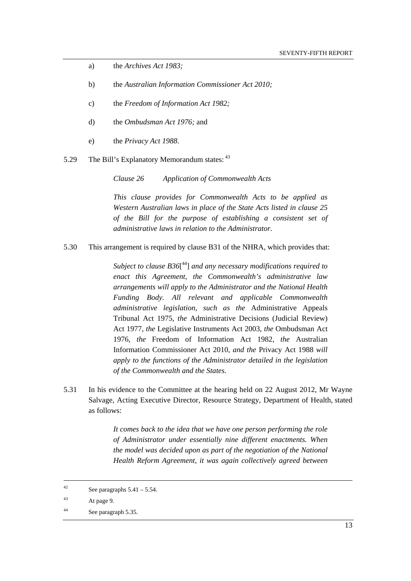- a) the *Archives Act 1983;*
- b) the *Australian Information Commissioner Act 2010;*
- c) the *Freedom of Information Act 1982;*
- d) the *Ombudsman Act 1976;* and
- e) the *Privacy Act 1988*.
- 5.29 The Bill's Explanatory Memorandum states: <sup>43</sup>

*Clause 26 Application of Commonwealth Acts* 

*This clause provides for Commonwealth Acts to be applied as Western Australian laws in place of the State Acts listed in clause 25 of the Bill for the purpose of establishing a consistent set of administrative laws in relation to the Administrator.*

5.30 This arrangement is required by clause B31 of the NHRA, which provides that:

*Subject to clause B36*[ 44] *and any necessary modifications required to enact this Agreement, the Commonwealth's administrative law arrangements will apply to the Administrator and the National Health Funding Body. All relevant and applicable Commonwealth administrative legislation, such as the* Administrative Appeals Tribunal Act 1975, *the* Administrative Decisions (Judicial Review) Act 1977, *the* Legislative Instruments Act 2003, *the* Ombudsman Act 1976*, the* Freedom of Information Act 1982, *the* Australian Information Commissioner Act 2010, *and the* Privacy Act 1988 *will apply to the functions of the Administrator detailed in the legislation of the Commonwealth and the States.* 

5.31 In his evidence to the Committee at the hearing held on 22 August 2012, Mr Wayne Salvage, Acting Executive Director, Resource Strategy, Department of Health, stated as follows:

> *It comes back to the idea that we have one person performing the role of Administrator under essentially nine different enactments. When the model was decided upon as part of the negotiation of the National Health Reform Agreement, it was again collectively agreed between*

43 At page 9.

<sup>&</sup>lt;sup>42</sup> See paragraphs  $5.41 - 5.54$ .

<sup>44</sup> See paragraph 5.35.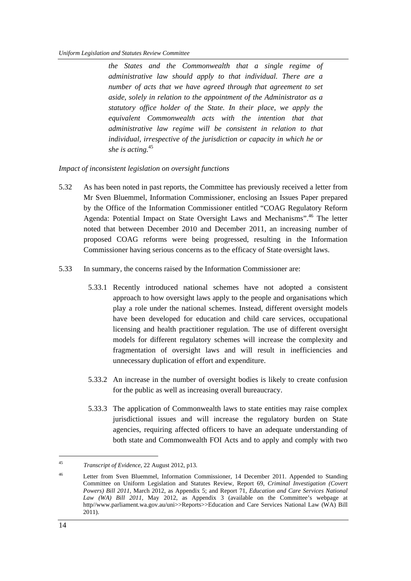*the States and the Commonwealth that a single regime of administrative law should apply to that individual. There are a number of acts that we have agreed through that agreement to set aside, solely in relation to the appointment of the Administrator as a statutory office holder of the State. In their place, we apply the equivalent Commonwealth acts with the intention that that administrative law regime will be consistent in relation to that individual, irrespective of the jurisdiction or capacity in which he or she is acting.*<sup>45</sup>

*Impact of inconsistent legislation on oversight functions* 

- 5.32 As has been noted in past reports, the Committee has previously received a letter from Mr Sven Bluemmel, Information Commissioner, enclosing an Issues Paper prepared by the Office of the Information Commissioner entitled "COAG Regulatory Reform Agenda: Potential Impact on State Oversight Laws and Mechanisms".<sup>46</sup> The letter noted that between December 2010 and December 2011, an increasing number of proposed COAG reforms were being progressed, resulting in the Information Commissioner having serious concerns as to the efficacy of State oversight laws.
- 5.33 In summary, the concerns raised by the Information Commissioner are:
	- 5.33.1 Recently introduced national schemes have not adopted a consistent approach to how oversight laws apply to the people and organisations which play a role under the national schemes. Instead, different oversight models have been developed for education and child care services, occupational licensing and health practitioner regulation. The use of different oversight models for different regulatory schemes will increase the complexity and fragmentation of oversight laws and will result in inefficiencies and unnecessary duplication of effort and expenditure.
	- 5.33.2 An increase in the number of oversight bodies is likely to create confusion for the public as well as increasing overall bureaucracy.
	- 5.33.3 The application of Commonwealth laws to state entities may raise complex jurisdictional issues and will increase the regulatory burden on State agencies, requiring affected officers to have an adequate understanding of both state and Commonwealth FOI Acts and to apply and comply with two

 $\overline{a}$ 

<sup>45</sup> *Transcript of Evidence*, 22 August 2012, p13.

<sup>46</sup> Letter from Sven Bluemmel, Information Commissioner, 14 December 2011. Appended to Standing Committee on Uniform Legislation and Statutes Review, Report 69, *Criminal Investigation (Covert Powers) Bill 2011*, March 2012, as Appendix 5; and Report 71, *Education and Care Services National Law (WA) Bill 2011*, May 2012, as Appendix 3 (available on the Committee's webpage at http//www.parliament.wa.gov.au/uni>>Reports>>Education and Care Services National Law (WA) Bill 2011).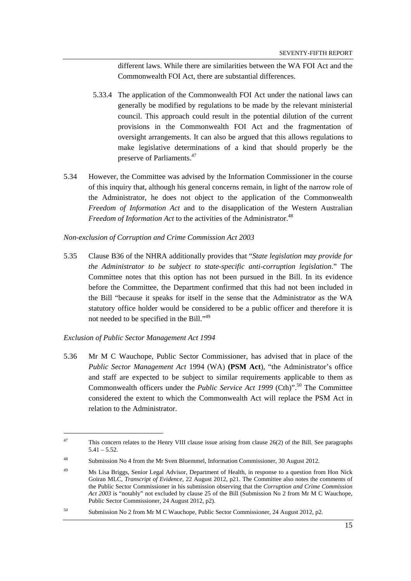different laws. While there are similarities between the WA FOI Act and the Commonwealth FOI Act, there are substantial differences.

- 5.33.4 The application of the Commonwealth FOI Act under the national laws can generally be modified by regulations to be made by the relevant ministerial council. This approach could result in the potential dilution of the current provisions in the Commonwealth FOI Act and the fragmentation of oversight arrangements. It can also be argued that this allows regulations to make legislative determinations of a kind that should properly be the preserve of Parliaments.47
- 5.34 However, the Committee was advised by the Information Commissioner in the course of this inquiry that, although his general concerns remain, in light of the narrow role of the Administrator, he does not object to the application of the Commonwealth *Freedom of Information Act* and to the disapplication of the Western Australian *Freedom of Information Act* to the activities of the Administrator.<sup>48</sup>

#### *Non-exclusion of Corruption and Crime Commission Act 2003*

5.35 Clause B36 of the NHRA additionally provides that "*State legislation may provide for the Administrator to be subject to state-specific anti-corruption legislation*." The Committee notes that this option has not been pursued in the Bill. In its evidence before the Committee, the Department confirmed that this had not been included in the Bill "because it speaks for itself in the sense that the Administrator as the WA statutory office holder would be considered to be a public officer and therefore it is not needed to be specified in the Bill."<sup>49</sup>

### *Exclusion of Public Sector Management Act 1994*

5.36 Mr M C Wauchope, Public Sector Commissioner, has advised that in place of the *Public Sector Management Act* 1994 (WA) **(PSM Act**), "the Administrator's office and staff are expected to be subject to similar requirements applicable to them as Commonwealth officers under the *Public Service Act 1999* (Cth)".<sup>50</sup> The Committee considered the extent to which the Commonwealth Act will replace the PSM Act in relation to the Administrator.

<sup>&</sup>lt;sup>47</sup> This concern relates to the Henry VIII clause issue arising from clause 26(2) of the Bill. See paragraphs  $5.41 - 5.52$ .

<sup>48</sup> Submission No 4 from the Mr Sven Bluemmel, Information Commissioner, 30 August 2012.

<sup>49</sup> Ms Lisa Briggs, Senior Legal Advisor, Department of Health, in response to a question from Hon Nick Goiran MLC, *Transcript of Evidence*, 22 August 2012, p21. The Committee also notes the comments of the Public Sector Commissioner in his submission observing that the *Corruption and Crime Commission Act 2003* is "notably" not excluded by clause 25 of the Bill (Submission No 2 from Mr M C Wauchope, Public Sector Commissioner, 24 August 2012, p2).

<sup>50</sup> Submission No 2 from Mr M C Wauchope, Public Sector Commissioner, 24 August 2012, p2.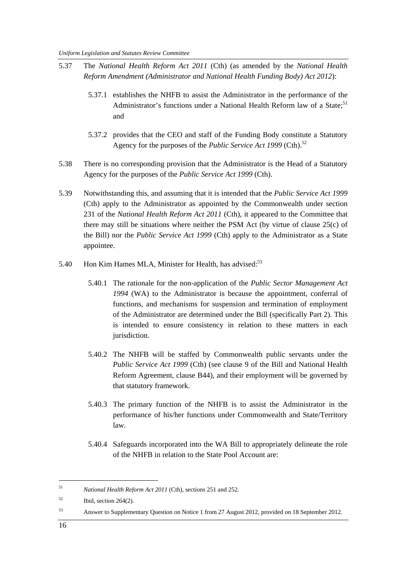- 5.37 The *National Health Reform Act 2011* (Cth) (as amended by the *National Health Reform Amendment (Administrator and National Health Funding Body) Act 2012*):
	- 5.37.1 establishes the NHFB to assist the Administrator in the performance of the Administrator's functions under a National Health Reform law of a State;<sup>51</sup> and
	- 5.37.2 provides that the CEO and staff of the Funding Body constitute a Statutory Agency for the purposes of the *Public Service Act 1999* (Cth).<sup>52</sup>
- 5.38 There is no corresponding provision that the Administrator is the Head of a Statutory Agency for the purposes of the *Public Service Act 1999* (Cth).
- 5.39 Notwithstanding this, and assuming that it is intended that the *Public Service Act 1999*  (Cth) apply to the Administrator as appointed by the Commonwealth under section 231 of the *National Health Reform Act 2011* (Cth), it appeared to the Committee that there may still be situations where neither the PSM Act (by virtue of clause 25(c) of the Bill) nor the *Public Service Act 1999* (Cth) apply to the Administrator as a State appointee.
- 5.40 Hon Kim Hames MLA, Minister for Health, has advised:<sup>53</sup>
	- 5.40.1 The rationale for the non-application of the *Public Sector Management Act 1994* (WA) to the Administrator is because the appointment, conferral of functions, and mechanisms for suspension and termination of employment of the Administrator are determined under the Bill (specifically Part 2). This is intended to ensure consistency in relation to these matters in each jurisdiction.
	- 5.40.2 The NHFB will be staffed by Commonwealth public servants under the *Public Service Act 1999* (Cth) (see clause 9 of the Bill and National Health Reform Agreement, clause B44), and their employment will be governed by that statutory framework.
	- 5.40.3 The primary function of the NHFB is to assist the Administrator in the performance of his/her functions under Commonwealth and State/Territory law.
	- 5.40.4 Safeguards incorporated into the WA Bill to appropriately delineate the role of the NHFB in relation to the State Pool Account are:

<sup>51</sup> *National Health Reform Act 2011* (Cth), sections 251 and 252.

 $52$  Ibid, section 264(2).

<sup>53</sup> Answer to Supplementary Question on Notice 1 from 27 August 2012, provided on 18 September 2012.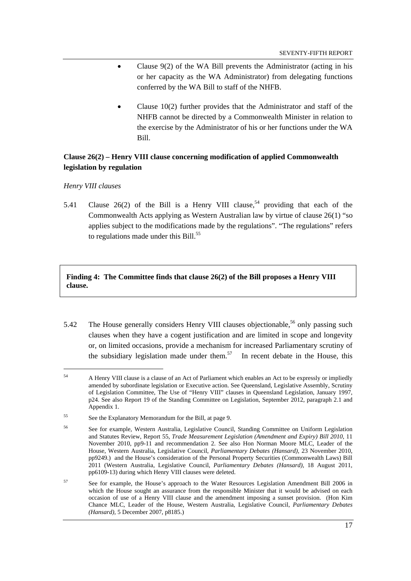- Clause 9(2) of the WA Bill prevents the Administrator (acting in his or her capacity as the WA Administrator) from delegating functions conferred by the WA Bill to staff of the NHFB.
- Clause 10(2) further provides that the Administrator and staff of the NHFB cannot be directed by a Commonwealth Minister in relation to the exercise by the Administrator of his or her functions under the WA Bill.

## **Clause 26(2) – Henry VIII clause concerning modification of applied Commonwealth legislation by regulation**

#### *Henry VIII clauses*

5.41 Clause 26(2) of the Bill is a Henry VIII clause,<sup>54</sup> providing that each of the Commonwealth Acts applying as Western Australian law by virtue of clause 26(1) "so applies subject to the modifications made by the regulations". "The regulations" refers to regulations made under this  $Bill.<sup>55</sup>$ 

**Finding 4: The Committee finds that clause 26(2) of the Bill proposes a Henry VIII clause.** 

5.42 The House generally considers Henry VIII clauses objectionable,<sup>56</sup> only passing such clauses when they have a cogent justification and are limited in scope and longevity or, on limited occasions, provide a mechanism for increased Parliamentary scrutiny of the subsidiary legislation made under them.<sup>57</sup> In recent debate in the House, this

<sup>&</sup>lt;sup>54</sup> A Henry VIII clause is a clause of an Act of Parliament which enables an Act to be expressly or impliedly amended by subordinate legislation or Executive action. See Queensland, Legislative Assembly, Scrutiny of Legislation Committee, The Use of "Henry VIII" clauses in Queensland Legislation, January 1997, p24. See also Report 19 of the Standing Committee on Legislation, September 2012, paragraph 2.1 and Appendix 1.

<sup>55</sup> See the Explanatory Memorandum for the Bill, at page 9.

<sup>56</sup> See for example, Western Australia, Legislative Council, Standing Committee on Uniform Legislation and Statutes Review, Report 55, *Trade Measurement Legislation (Amendment and Expiry) Bill 2010*, 11 November 2010, pp9-11 and recommendation 2. See also Hon Norman Moore MLC, Leader of the House, Western Australia, Legislative Council, *Parliamentary Debates (Hansard),* 23 November 2010, pp9249.) and the House's consideration of the Personal Property Securities (Commonwealth Laws) Bill 2011 (Western Australia, Legislative Council, *Parliamentary Debates (Hansard),* 18 August 2011, pp6109-13) during which Henry VIII clauses were deleted.

<sup>&</sup>lt;sup>57</sup> See for example, the House's approach to the Water Resources Legislation Amendment Bill 2006 in which the House sought an assurance from the responsible Minister that it would be advised on each occasion of use of a Henry VIII clause and the amendment imposing a sunset provision. (Hon Kim Chance MLC, Leader of the House, Western Australia, Legislative Council, *Parliamentary Debates (Hansard),* 5 December 2007, p8185.)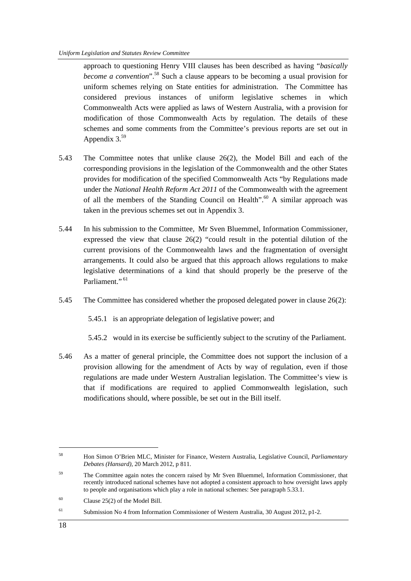approach to questioning Henry VIII clauses has been described as having "*basically become a convention*".<sup>58</sup> Such a clause appears to be becoming a usual provision for uniform schemes relying on State entities for administration. The Committee has considered previous instances of uniform legislative schemes in which Commonwealth Acts were applied as laws of Western Australia, with a provision for modification of those Commonwealth Acts by regulation. The details of these schemes and some comments from the Committee's previous reports are set out in Appendix  $3^{59}$ 

- 5.43 The Committee notes that unlike clause 26(2), the Model Bill and each of the corresponding provisions in the legislation of the Commonwealth and the other States provides for modification of the specified Commonwealth Acts "by Regulations made under the *National Health Reform Act 2011* of the Commonwealth with the agreement of all the members of the Standing Council on Health".<sup>60</sup> A similar approach was taken in the previous schemes set out in Appendix 3.
- 5.44 In his submission to the Committee, Mr Sven Bluemmel, Information Commissioner, expressed the view that clause 26(2) "could result in the potential dilution of the current provisions of the Commonwealth laws and the fragmentation of oversight arrangements. It could also be argued that this approach allows regulations to make legislative determinations of a kind that should properly be the preserve of the Parliament<sup>", 61</sup>
- 5.45 The Committee has considered whether the proposed delegated power in clause 26(2):

5.45.1 is an appropriate delegation of legislative power; and

5.45.2 would in its exercise be sufficiently subject to the scrutiny of the Parliament.

5.46 As a matter of general principle, the Committee does not support the inclusion of a provision allowing for the amendment of Acts by way of regulation, even if those regulations are made under Western Australian legislation. The Committee's view is that if modifications are required to applied Commonwealth legislation, such modifications should, where possible, be set out in the Bill itself.

 $\overline{a}$ 

<sup>58</sup> Hon Simon O'Brien MLC, Minister for Finance, Western Australia, Legislative Council, *Parliamentary Debates (Hansard),* 20 March 2012, p 811.

<sup>&</sup>lt;sup>59</sup> The Committee again notes the concern raised by Mr Sven Bluemmel, Information Commissioner, that recently introduced national schemes have not adopted a consistent approach to how oversight laws apply to people and organisations which play a role in national schemes: See paragraph 5.33.1.

 $60$  Clause 25(2) of the Model Bill.

<sup>61</sup> Submission No 4 from Information Commissioner of Western Australia, 30 August 2012, p1-2.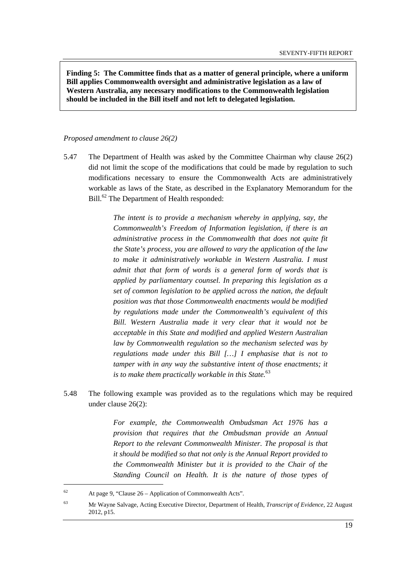**Finding 5: The Committee finds that as a matter of general principle, where a uniform Bill applies Commonwealth oversight and administrative legislation as a law of Western Australia, any necessary modifications to the Commonwealth legislation should be included in the Bill itself and not left to delegated legislation.** 

#### *Proposed amendment to clause 26(2)*

5.47 The Department of Health was asked by the Committee Chairman why clause 26(2) did not limit the scope of the modifications that could be made by regulation to such modifications necessary to ensure the Commonwealth Acts are administratively workable as laws of the State, as described in the Explanatory Memorandum for the Bill.<sup>62</sup> The Department of Health responded:

> *The intent is to provide a mechanism whereby in applying, say, the Commonwealth's Freedom of Information legislation, if there is an administrative process in the Commonwealth that does not quite fit the State's process, you are allowed to vary the application of the law to make it administratively workable in Western Australia. I must admit that that form of words is a general form of words that is applied by parliamentary counsel. In preparing this legislation as a set of common legislation to be applied across the nation, the default position was that those Commonwealth enactments would be modified by regulations made under the Commonwealth's equivalent of this Bill. Western Australia made it very clear that it would not be acceptable in this State and modified and applied Western Australian law by Commonwealth regulation so the mechanism selected was by regulations made under this Bill […] I emphasise that is not to tamper with in any way the substantive intent of those enactments; it is to make them practically workable in this State.*<sup>63</sup>

5.48 The following example was provided as to the regulations which may be required under clause 26(2):

> *For example, the Commonwealth Ombudsman Act 1976 has a provision that requires that the Ombudsman provide an Annual Report to the relevant Commonwealth Minister. The proposal is that it should be modified so that not only is the Annual Report provided to the Commonwealth Minister but it is provided to the Chair of the Standing Council on Health. It is the nature of those types of*

<sup>62</sup> At page 9, "Clause 26 – Application of Commonwealth Acts".

<sup>63</sup> Mr Wayne Salvage, Acting Executive Director, Department of Health, *Transcript of Evidence*, 22 August 2012, p15.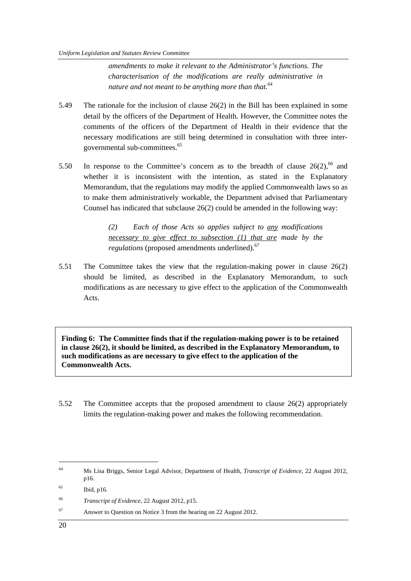*amendments to make it relevant to the Administrator's functions. The characterisation of the modifications are really administrative in nature and not meant to be anything more than that.64*

- 5.49 The rationale for the inclusion of clause 26(2) in the Bill has been explained in some detail by the officers of the Department of Health. However, the Committee notes the comments of the officers of the Department of Health in their evidence that the necessary modifications are still being determined in consultation with three intergovernmental sub-committees.<sup>65</sup>
- 5.50 In response to the Committee's concern as to the breadth of clause  $26(2)$ , <sup>66</sup> and whether it is inconsistent with the intention, as stated in the Explanatory Memorandum, that the regulations may modify the applied Commonwealth laws so as to make them administratively workable, the Department advised that Parliamentary Counsel has indicated that subclause 26(2) could be amended in the following way:

*(2) Each of those Acts so applies subject to any modifications necessary to give effect to subsection (1) that are made by the regulations* (proposed amendments underlined).<sup>67</sup>

5.51 The Committee takes the view that the regulation-making power in clause 26(2) should be limited, as described in the Explanatory Memorandum, to such modifications as are necessary to give effect to the application of the Commonwealth Acts.

**Finding 6: The Committee finds that if the regulation-making power is to be retained in clause 26(2), it should be limited, as described in the Explanatory Memorandum, to such modifications as are necessary to give effect to the application of the Commonwealth Acts.** 

5.52 The Committee accepts that the proposed amendment to clause 26(2) appropriately limits the regulation-making power and makes the following recommendation.

 $\overline{a}$ 

<sup>64</sup> Ms Lisa Briggs, Senior Legal Advisor*,* Department of Health, *Transcript of Evidence*, 22 August 2012, p16.

<sup>65</sup> Ibid, p16.

<sup>66</sup> *Transcript of Evidence*, 22 August 2012, p15.

<sup>67</sup> Answer to Question on Notice 3 from the hearing on 22 August 2012.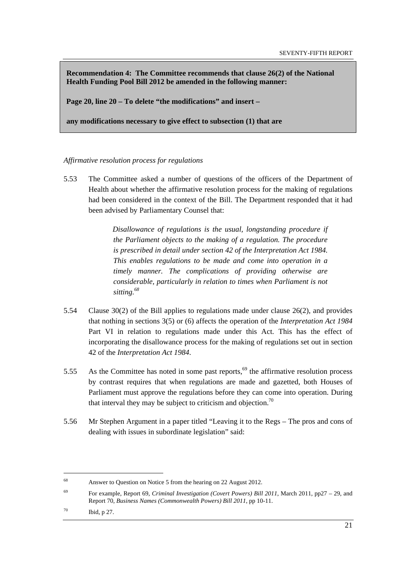**Recommendation 4: The Committee recommends that clause 26(2) of the National Health Funding Pool Bill 2012 be amended in the following manner:** 

**Page 20, line 20 – To delete "the modifications" and insert –** 

**any modifications necessary to give effect to subsection (1) that are** 

### *Affirmative resolution process for regulations*

5.53 The Committee asked a number of questions of the officers of the Department of Health about whether the affirmative resolution process for the making of regulations had been considered in the context of the Bill. The Department responded that it had been advised by Parliamentary Counsel that:

> *Disallowance of regulations is the usual, longstanding procedure if the Parliament objects to the making of a regulation. The procedure is prescribed in detail under section 42 of the Interpretation Act 1984. This enables regulations to be made and come into operation in a timely manner. The complications of providing otherwise are considerable, particularly in relation to times when Parliament is not sitting.68*

- 5.54 Clause 30(2) of the Bill applies to regulations made under clause 26(2), and provides that nothing in sections 3(5) or (6) affects the operation of the *Interpretation Act 1984*  Part VI in relation to regulations made under this Act. This has the effect of incorporating the disallowance process for the making of regulations set out in section 42 of the *Interpretation Act 1984*.
- 5.55 As the Committee has noted in some past reports,<sup>69</sup> the affirmative resolution process by contrast requires that when regulations are made and gazetted, both Houses of Parliament must approve the regulations before they can come into operation. During that interval they may be subject to criticism and objection.<sup>70</sup>
- 5.56 Mr Stephen Argument in a paper titled "Leaving it to the Regs The pros and cons of dealing with issues in subordinate legislation" said:

<sup>68</sup> Answer to Question on Notice 5 from the hearing on 22 August 2012.

<sup>69</sup> For example, Report 69, *Criminal Investigation (Covert Powers) Bill 2011*, March 2011, pp27 – 29, and Report 70, *Business Names (Commonwealth Powers) Bill 2011*, pp 10-11.

<sup>70</sup> Ibid, p 27.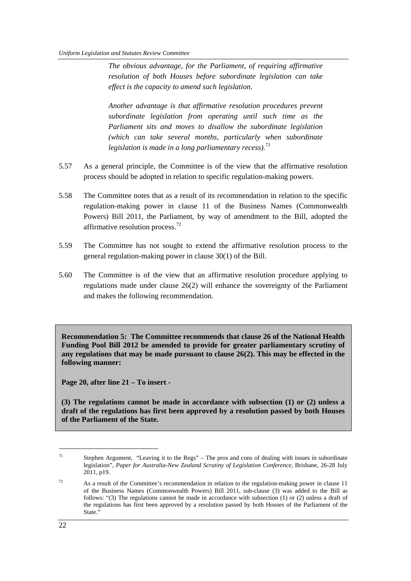*The obvious advantage, for the Parliament, of requiring affirmative resolution of both Houses before subordinate legislation can take effect is the capacity to amend such legislation.* 

*Another advantage is that affirmative resolution procedures prevent subordinate legislation from operating until such time as the Parliament sits and moves to disallow the subordinate legislation (which can take several months, particularly when subordinate legislation is made in a long parliamentary recess).71* 

- 5.57 As a general principle, the Committee is of the view that the affirmative resolution process should be adopted in relation to specific regulation-making powers.
- 5.58 The Committee notes that as a result of its recommendation in relation to the specific regulation-making power in clause 11 of the Business Names (Commonwealth Powers) Bill 2011, the Parliament, by way of amendment to the Bill, adopted the affirmative resolution process.<sup>72</sup>
- 5.59 The Committee has not sought to extend the affirmative resolution process to the general regulation-making power in clause 30(1) of the Bill.
- 5.60 The Committee is of the view that an affirmative resolution procedure applying to regulations made under clause 26(2) will enhance the sovereignty of the Parliament and makes the following recommendation.

**Recommendation 5: The Committee recommends that clause 26 of the National Health Funding Pool Bill 2012 be amended to provide for greater parliamentary scrutiny of any regulations that may be made pursuant to clause 26(2). This may be effected in the following manner:** 

**Page 20, after line 21 – To insert -** 

**(3) The regulations cannot be made in accordance with subsection (1) or (2) unless a draft of the regulations has first been approved by a resolution passed by both Houses of the Parliament of the State.** 

<sup>71</sup> Stephen Argument, "Leaving it to the Regs" – The pros and cons of dealing with issues in subordinate legislation", *Paper for Australia-New Zealand Scrutiny of Legislation Conference*, Brisbane, 26-28 July 2011, p19.

 $72$  As a result of the Committee's recommendation in relation to the regulation-making power in clause 11 of the Business Names (Commonwealth Powers) Bill 2011, sub-clause (3) was added to the Bill as follows: "(3) The regulations cannot be made in accordance with subsection (1) or (2) unless a draft of the regulations has first been approved by a resolution passed by both Houses of the Parliament of the State."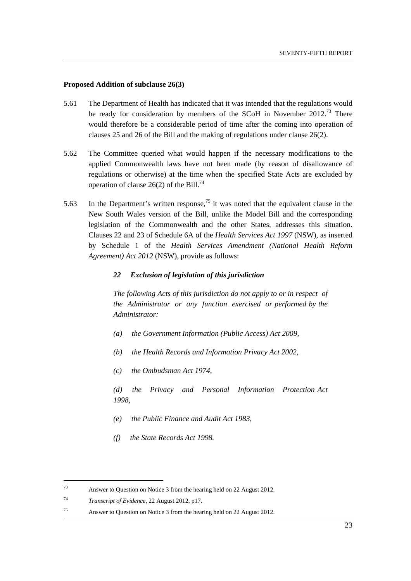#### **Proposed Addition of subclause 26(3)**

- 5.61 The Department of Health has indicated that it was intended that the regulations would be ready for consideration by members of the SCoH in November  $2012<sup>73</sup>$  There would therefore be a considerable period of time after the coming into operation of clauses 25 and 26 of the Bill and the making of regulations under clause 26(2).
- 5.62 The Committee queried what would happen if the necessary modifications to the applied Commonwealth laws have not been made (by reason of disallowance of regulations or otherwise) at the time when the specified State Acts are excluded by operation of clause 26(2) of the Bill.<sup>74</sup>
- 5.63 In the Department's written response,<sup>75</sup> it was noted that the equivalent clause in the New South Wales version of the Bill, unlike the Model Bill and the corresponding legislation of the Commonwealth and the other States, addresses this situation. Clauses 22 and 23 of Schedule 6A of the *Health Services Act 1997* (NSW), as inserted by Schedule 1 of the *Health Services Amendment (National Health Reform Agreement) Act 2012* (NSW), provide as follows:

#### *22 Exclusion of legislation of this jurisdiction*

*The following Acts of this jurisdiction do not apply to or in respect of the Administrator or any function exercised or performed by the Administrator:* 

- *(a) the Government Information (Public Access) Act 2009,*
- *(b) the Health Records and Information Privacy Act 2002,*
- *(c) the Ombudsman Act 1974,*
- *(d) the Privacy and Personal Information Protection Act 1998,*
- *(e) the Public Finance and Audit Act 1983,*
- *(f) the State Records Act 1998.*

<sup>73</sup> Answer to Question on Notice 3 from the hearing held on 22 August 2012.

<sup>74</sup> *Transcript of Evidence*, 22 August 2012, p17.

<sup>75</sup> Answer to Question on Notice 3 from the hearing held on 22 August 2012.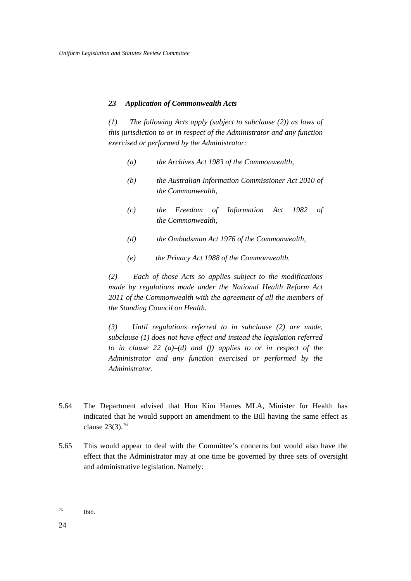### *23 Application of Commonwealth Acts*

*(1) The following Acts apply (subject to subclause (2)) as laws of this jurisdiction to or in respect of the Administrator and any function exercised or performed by the Administrator:* 

- *(a) the Archives Act 1983 of the Commonwealth,*
- *(b) the Australian Information Commissioner Act 2010 of the Commonwealth,*
- *(c) the Freedom of Information Act 1982 of the Commonwealth,*
- *(d) the Ombudsman Act 1976 of the Commonwealth,*
- *(e) the Privacy Act 1988 of the Commonwealth.*

*(2) Each of those Acts so applies subject to the modifications made by regulations made under the National Health Reform Act 2011 of the Commonwealth with the agreement of all the members of the Standing Council on Health.* 

*(3) Until regulations referred to in subclause (2) are made, subclause (1) does not have effect and instead the legislation referred to in clause 22 (a)–(d) and (f) applies to or in respect of the Administrator and any function exercised or performed by the Administrator.* 

- 5.64 The Department advised that Hon Kim Hames MLA, Minister for Health has indicated that he would support an amendment to the Bill having the same effect as clause  $23(3).^{76}$
- 5.65 This would appear to deal with the Committee's concerns but would also have the effect that the Administrator may at one time be governed by three sets of oversight and administrative legislation. Namely:

<sup>76</sup> Ibid.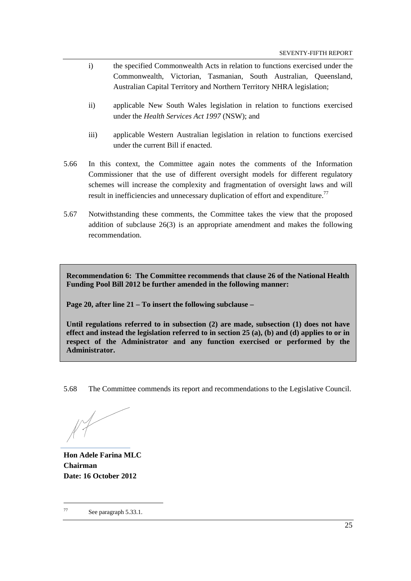- i) the specified Commonwealth Acts in relation to functions exercised under the Commonwealth, Victorian, Tasmanian, South Australian, Queensland, Australian Capital Territory and Northern Territory NHRA legislation;
- ii) applicable New South Wales legislation in relation to functions exercised under the *Health Services Act 1997* (NSW); and
- iii) applicable Western Australian legislation in relation to functions exercised under the current Bill if enacted.
- 5.66 In this context, the Committee again notes the comments of the Information Commissioner that the use of different oversight models for different regulatory schemes will increase the complexity and fragmentation of oversight laws and will result in inefficiencies and unnecessary duplication of effort and expenditure.<sup>77</sup>
- 5.67 Notwithstanding these comments, the Committee takes the view that the proposed addition of subclause 26(3) is an appropriate amendment and makes the following recommendation.

**Recommendation 6: The Committee recommends that clause 26 of the National Health Funding Pool Bill 2012 be further amended in the following manner:** 

**Page 20, after line 21 – To insert the following subclause –** 

**Until regulations referred to in subsection (2) are made, subsection (1) does not have effect and instead the legislation referred to in section 25 (a), (b) and (d) applies to or in respect of the Administrator and any function exercised or performed by the Administrator.** 

5.68 The Committee commends its report and recommendations to the Legislative Council.

**Hon Adele Farina MLC Chairman Date: 16 October 2012**

<sup>77</sup> See paragraph 5.33.1.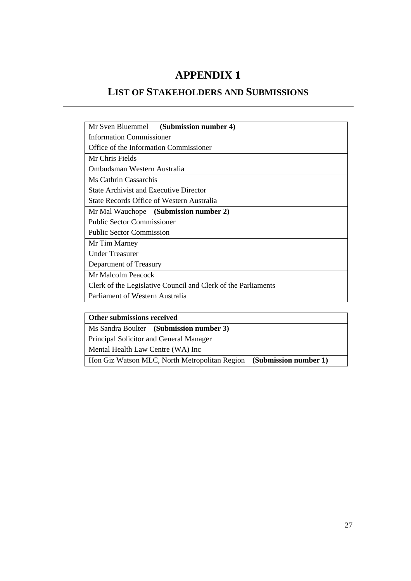## **APPENDIX 1**

## **LIST OF STAKEHOLDERS AND SUBMISSIONS**

| Mr Sven Bluemmel (Submission number 4)                        |  |  |  |  |
|---------------------------------------------------------------|--|--|--|--|
|                                                               |  |  |  |  |
| <b>Information Commissioner</b>                               |  |  |  |  |
| Office of the Information Commissioner                        |  |  |  |  |
| Mr Chris Fields                                               |  |  |  |  |
| Ombudsman Western Australia                                   |  |  |  |  |
| Ms Cathrin Cassarchis                                         |  |  |  |  |
| <b>State Archivist and Executive Director</b>                 |  |  |  |  |
| State Records Office of Western Australia                     |  |  |  |  |
| Mr Mal Wauchope (Submission number 2)                         |  |  |  |  |
| <b>Public Sector Commissioner</b>                             |  |  |  |  |
| <b>Public Sector Commission</b>                               |  |  |  |  |
| Mr Tim Marney                                                 |  |  |  |  |
| <b>Under Treasurer</b>                                        |  |  |  |  |
| Department of Treasury                                        |  |  |  |  |
| Mr Malcolm Peacock                                            |  |  |  |  |
| Clerk of the Legislative Council and Clerk of the Parliaments |  |  |  |  |
| Parliament of Western Australia                               |  |  |  |  |

## **Other submissions received**

Ms Sandra Boulter **(Submission number 3)** 

Principal Solicitor and General Manager

Mental Health Law Centre (WA) Inc

Hon Giz Watson MLC, North Metropolitan Region **(Submission number 1)**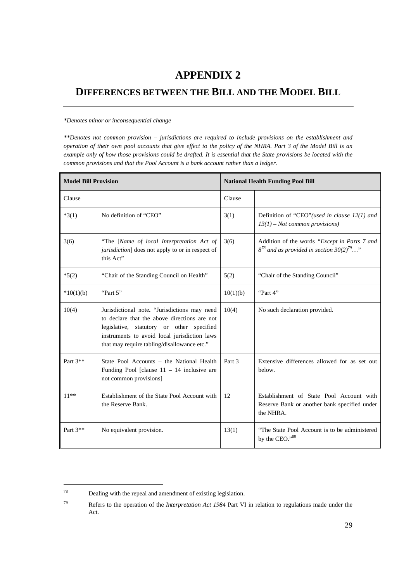## **APPENDIX 2**

## **DIFFERENCES BETWEEN THE BILL AND THE MODEL BILL**

#### *\*Denotes minor or inconsequential change*

*\*\*Denotes not common provision – jurisdictions are required to include provisions on the establishment and operation of their own pool accounts that give effect to the policy of the NHRA. Part 3 of the Model Bill is an example only of how those provisions could be drafted. It is essential that the State provisions be located with the common provisions and that the Pool Account is a bank account rather than a ledger.*

| <b>Model Bill Provision</b> |                                                                                                                                                                                                                                          | <b>National Health Funding Pool Bill</b> |                                                                                                           |
|-----------------------------|------------------------------------------------------------------------------------------------------------------------------------------------------------------------------------------------------------------------------------------|------------------------------------------|-----------------------------------------------------------------------------------------------------------|
| Clause                      |                                                                                                                                                                                                                                          | Clause                                   |                                                                                                           |
| $*3(1)$                     | No definition of "CEO"                                                                                                                                                                                                                   | 3(1)                                     | Definition of "CEO" (used in clause $12(1)$ and<br>$13(1)$ – Not common provisions)                       |
| 3(6)                        | "The [Name of local Interpretation Act of<br><i>jurisdiction</i> ] does not apply to or in respect of<br>this Act"                                                                                                                       | 3(6)                                     | Addition of the words "Except in Parts 7 and<br>$8^{78}$ and as provided in section 30(2) <sup>79</sup> " |
| $*5(2)$                     | "Chair of the Standing Council on Health"                                                                                                                                                                                                | 5(2)                                     | "Chair of the Standing Council"                                                                           |
| $*10(1)(b)$                 | "Part 5"                                                                                                                                                                                                                                 | 10(1)(b)                                 | "Part 4"                                                                                                  |
| 10(4)                       | Jurisdictional note. "Jurisdictions may need<br>to declare that the above directions are not<br>legislative, statutory or other specified<br>instruments to avoid local jurisdiction laws<br>that may require tabling/disallowance etc." | 10(4)                                    | No such declaration provided.                                                                             |
| Part $3**$                  | State Pool Accounts – the National Health<br>Funding Pool [clause $11 - 14$ inclusive are<br>not common provisions]                                                                                                                      | Part 3                                   | Extensive differences allowed for as set out<br>below.                                                    |
| $11**$                      | Establishment of the State Pool Account with<br>the Reserve Bank.                                                                                                                                                                        | 12                                       | Establishment of State Pool Account with<br>Reserve Bank or another bank specified under<br>the NHRA.     |
| Part $3**$                  | No equivalent provision.                                                                                                                                                                                                                 | 13(1)                                    | "The State Pool Account is to be administered<br>by the CEO."80                                           |

<sup>78</sup> Dealing with the repeal and amendment of existing legislation.

<sup>79</sup> Refers to the operation of the *Interpretation Act 1984* Part VI in relation to regulations made under the Act.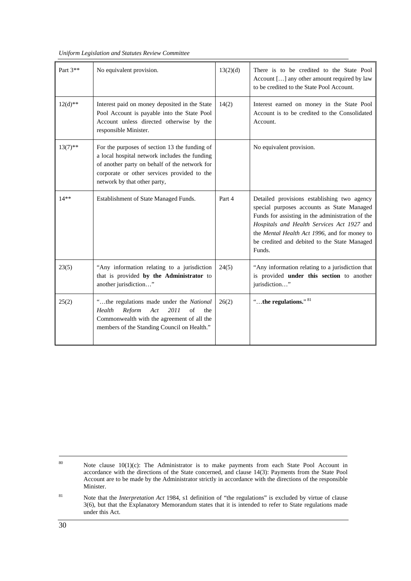*Uniform Legislation and Statutes Review Committee* 

| Part 3**   | No equivalent provision.                                                                                                                                                                                                       | 13(2)(d) | There is to be credited to the State Pool<br>Account [] any other amount required by law<br>to be credited to the State Pool Account.                                                                                                                                                                 |
|------------|--------------------------------------------------------------------------------------------------------------------------------------------------------------------------------------------------------------------------------|----------|-------------------------------------------------------------------------------------------------------------------------------------------------------------------------------------------------------------------------------------------------------------------------------------------------------|
| $12(d)$ ** | Interest paid on money deposited in the State<br>Pool Account is payable into the State Pool<br>Account unless directed otherwise by the<br>responsible Minister.                                                              | 14(2)    | Interest earned on money in the State Pool<br>Account is to be credited to the Consolidated<br>Account.                                                                                                                                                                                               |
| $13(7)$ ** | For the purposes of section 13 the funding of<br>a local hospital network includes the funding<br>of another party on behalf of the network for<br>corporate or other services provided to the<br>network by that other party, |          | No equivalent provision.                                                                                                                                                                                                                                                                              |
| $14**$     | Establishment of State Managed Funds.                                                                                                                                                                                          | Part 4   | Detailed provisions establishing two agency<br>special purposes accounts as State Managed<br>Funds for assisting in the administration of the<br>Hospitals and Health Services Act 1927 and<br>the Mental Health Act 1996, and for money to<br>be credited and debited to the State Managed<br>Funds. |
| 23(5)      | "Any information relating to a jurisdiction<br>that is provided by the Administrator to<br>another jurisdiction"                                                                                                               | 24(5)    | "Any information relating to a jurisdiction that<br>is provided under this section to another<br>jurisdiction"                                                                                                                                                                                        |
| 25(2)      | "the regulations made under the National<br>Act<br>2011<br>of<br>Health<br>Reform<br>the<br>Commonwealth with the agreement of all the<br>members of the Standing Council on Health."                                          | 26(2)    | "the regulations." $81$                                                                                                                                                                                                                                                                               |

<sup>&</sup>lt;sup>80</sup> Note clause  $10(1)(c)$ : The Administrator is to make payments from each State Pool Account in accordance with the directions of the State concerned, and clause 14(3): Payments from the State Pool Account are to be made by the Administrator strictly in accordance with the directions of the responsible Minister.

<sup>81</sup> Note that the *Interpretation Act* 1984, s1 definition of "the regulations" is excluded by virtue of clause 3(6), but that the Explanatory Memorandum states that it is intended to refer to State regulations made under this Act.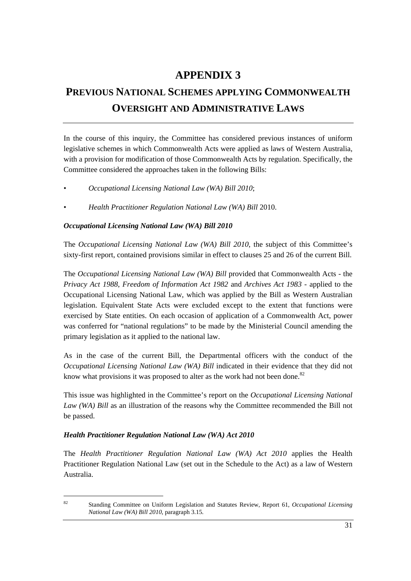## **APPENDIX 3**

# **PREVIOUS NATIONAL SCHEMES APPLYING COMMONWEALTH OVERSIGHT AND ADMINISTRATIVE LAWS**

In the course of this inquiry, the Committee has considered previous instances of uniform legislative schemes in which Commonwealth Acts were applied as laws of Western Australia, with a provision for modification of those Commonwealth Acts by regulation. Specifically, the Committee considered the approaches taken in the following Bills:

- *Occupational Licensing National Law (WA) Bill 2010*;
- *Health Practitioner Regulation National Law (WA) Bill* 2010.

## *Occupational Licensing National Law (WA) Bill 2010*

The *Occupational Licensing National Law (WA) Bill 2010*, the subject of this Committee's sixty-first report, contained provisions similar in effect to clauses 25 and 26 of the current Bill.

The *Occupational Licensing National Law (WA) Bill* provided that Commonwealth Acts - the *Privacy Act 1988*, *Freedom of Information Act 1982* and *Archives Act 1983* - applied to the Occupational Licensing National Law, which was applied by the Bill as Western Australian legislation. Equivalent State Acts were excluded except to the extent that functions were exercised by State entities. On each occasion of application of a Commonwealth Act, power was conferred for "national regulations" to be made by the Ministerial Council amending the primary legislation as it applied to the national law.

As in the case of the current Bill, the Departmental officers with the conduct of the *Occupational Licensing National Law (WA) Bill* indicated in their evidence that they did not know what provisions it was proposed to alter as the work had not been done.<sup>82</sup>

This issue was highlighted in the Committee's report on the *Occupational Licensing National Law (WA) Bill* as an illustration of the reasons why the Committee recommended the Bill not be passed.

## *Health Practitioner Regulation National Law (WA) Act 2010*

The *Health Practitioner Regulation National Law (WA) Act 2010* applies the Health Practitioner Regulation National Law (set out in the Schedule to the Act) as a law of Western Australia.

 $\overline{a}$ 

<sup>82</sup> Standing Committee on Uniform Legislation and Statutes Review, Report 61, *Occupational Licensing National Law (WA) Bill 2010*, paragraph 3.15.